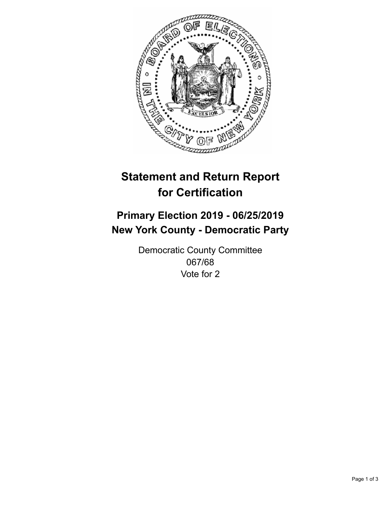

## **Statement and Return Report for Certification**

## **Primary Election 2019 - 06/25/2019 New York County - Democratic Party**

Democratic County Committee 067/68 Vote for 2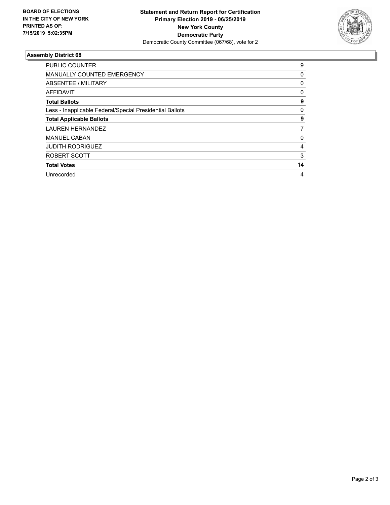

## **Assembly District 68**

| <b>PUBLIC COUNTER</b>                                    | 9  |
|----------------------------------------------------------|----|
| <b>MANUALLY COUNTED EMERGENCY</b>                        | 0  |
| ABSENTEE / MILITARY                                      | 0  |
| AFFIDAVIT                                                | 0  |
| <b>Total Ballots</b>                                     | 9  |
| Less - Inapplicable Federal/Special Presidential Ballots | 0  |
| <b>Total Applicable Ballots</b>                          | 9  |
| <b>LAUREN HERNANDEZ</b>                                  | 7  |
| <b>MANUEL CABAN</b>                                      | 0  |
| <b>JUDITH RODRIGUEZ</b>                                  | 4  |
| ROBERT SCOTT                                             | 3  |
| <b>Total Votes</b>                                       | 14 |
| Unrecorded                                               | 4  |